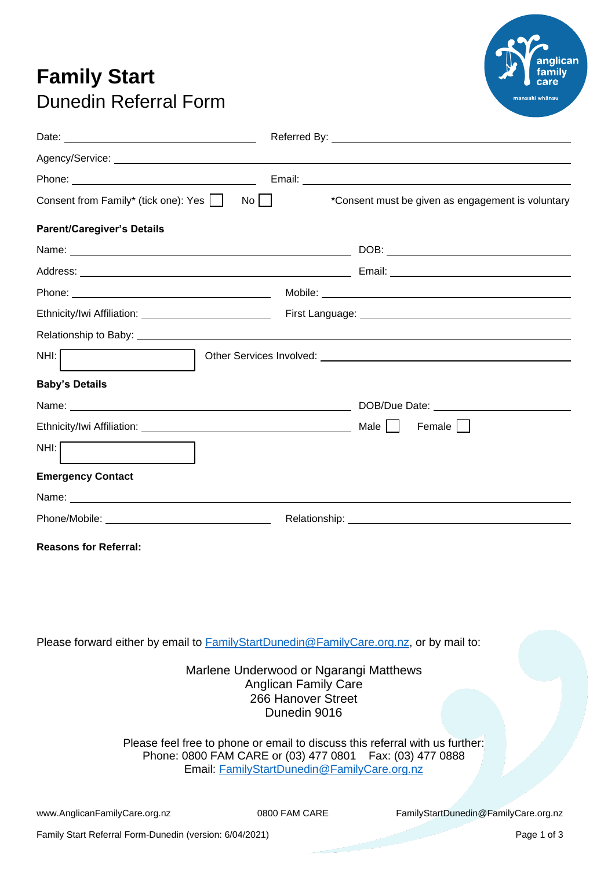## **Family Start** Dunedin Referral Form



| Date: <u>Date:</u>                                                                                                                                                                                                             |                                                                                                                                                                                                                                      |  |
|--------------------------------------------------------------------------------------------------------------------------------------------------------------------------------------------------------------------------------|--------------------------------------------------------------------------------------------------------------------------------------------------------------------------------------------------------------------------------------|--|
|                                                                                                                                                                                                                                |                                                                                                                                                                                                                                      |  |
|                                                                                                                                                                                                                                |                                                                                                                                                                                                                                      |  |
| Consent from Family* (tick one): Yes                                                                                                                                                                                           | *Consent must be given as engagement is voluntary<br>$No$                                                                                                                                                                            |  |
| <b>Parent/Caregiver's Details</b>                                                                                                                                                                                              |                                                                                                                                                                                                                                      |  |
|                                                                                                                                                                                                                                | $DOB:$                                                                                                                                                                                                                               |  |
|                                                                                                                                                                                                                                |                                                                                                                                                                                                                                      |  |
|                                                                                                                                                                                                                                |                                                                                                                                                                                                                                      |  |
|                                                                                                                                                                                                                                | First Language: <u>contract and the contract of the contract of the contract of the contract of the contract of the contract of the contract of the contract of the contract of the contract of the contract of the contract of </u> |  |
|                                                                                                                                                                                                                                |                                                                                                                                                                                                                                      |  |
| NH:                                                                                                                                                                                                                            |                                                                                                                                                                                                                                      |  |
| <b>Baby's Details</b>                                                                                                                                                                                                          |                                                                                                                                                                                                                                      |  |
|                                                                                                                                                                                                                                |                                                                                                                                                                                                                                      |  |
|                                                                                                                                                                                                                                | Male    <br>Female                                                                                                                                                                                                                   |  |
| NH:                                                                                                                                                                                                                            |                                                                                                                                                                                                                                      |  |
| <b>Emergency Contact</b>                                                                                                                                                                                                       |                                                                                                                                                                                                                                      |  |
| Name: when the contract of the contract of the contract of the contract of the contract of the contract of the contract of the contract of the contract of the contract of the contract of the contract of the contract of the |                                                                                                                                                                                                                                      |  |
|                                                                                                                                                                                                                                |                                                                                                                                                                                                                                      |  |
| <b>Reasons for Referral:</b>                                                                                                                                                                                                   |                                                                                                                                                                                                                                      |  |

Please forward either by email to [FamilyStartDunedin@FamilyCare.org.nz,](mailto:FamilyStartDunedin@FamilyCare.org.nz) or by mail to:

Marlene Underwood or Ngarangi Matthews Anglican Family Care 266 Hanover Street Dunedin 9016

Please feel free to phone or email to discuss this referral with us further: Phone: 0800 FAM CARE or (03) 477 0801 Fax: (03) 477 0888 Email: [FamilyStartDunedin@FamilyCare.org.nz](mailto:FamilyStartDunedin@FamilyCare.org.nz)

[www.AnglicanFamilyCare.org.nz](http://www.anglicanfamilycare.org.nz/) 0800 FAM CARE FamilyStartDunedin@FamilyCare.org.nz

Family Start Referral Form-Dunedin (version: 6/04/2021) Page 1 of 3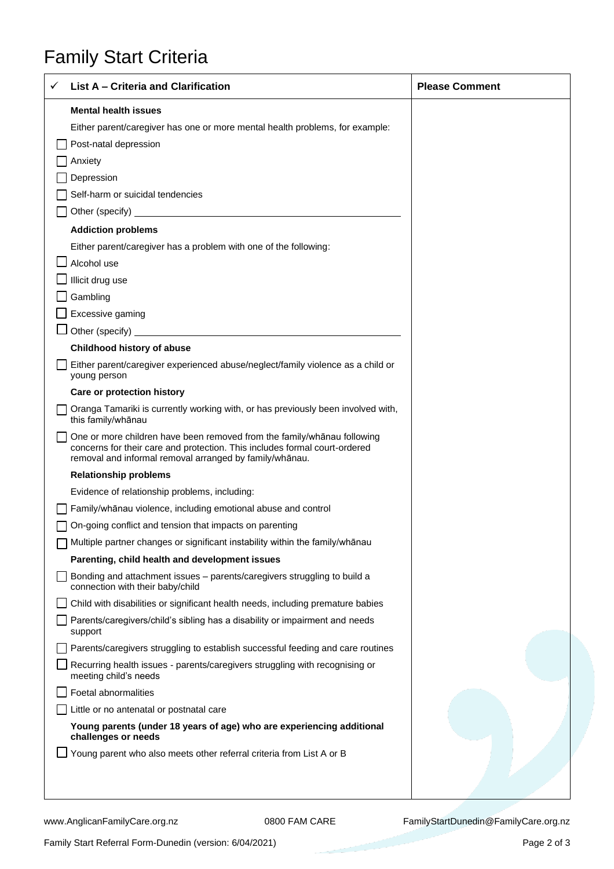## Family Start Criteria

| List A - Criteria and Clarification                                                                                                                                                                                                  | <b>Please Comment</b> |
|--------------------------------------------------------------------------------------------------------------------------------------------------------------------------------------------------------------------------------------|-----------------------|
| <b>Mental health issues</b>                                                                                                                                                                                                          |                       |
| Either parent/caregiver has one or more mental health problems, for example:                                                                                                                                                         |                       |
| Post-natal depression                                                                                                                                                                                                                |                       |
| Anxiety                                                                                                                                                                                                                              |                       |
| Depression                                                                                                                                                                                                                           |                       |
| Self-harm or suicidal tendencies                                                                                                                                                                                                     |                       |
| Other (specify) <u>example and the set of the set of the set of the set of the set of the set of the set of the set of the set of the set of the set of the set of the set of the set of the set of the set of the set of the se</u> |                       |
| <b>Addiction problems</b>                                                                                                                                                                                                            |                       |
| Either parent/caregiver has a problem with one of the following:                                                                                                                                                                     |                       |
| Alcohol use                                                                                                                                                                                                                          |                       |
| Illicit drug use                                                                                                                                                                                                                     |                       |
| Gambling                                                                                                                                                                                                                             |                       |
| Excessive gaming                                                                                                                                                                                                                     |                       |
| Other (specify) example and the state of the state of the state of the state of the state of the state of the state of the state of the state of the state of the state of the state of the state of the state of the state of       |                       |
| <b>Childhood history of abuse</b>                                                                                                                                                                                                    |                       |
| Either parent/caregiver experienced abuse/neglect/family violence as a child or<br>young person                                                                                                                                      |                       |
| Care or protection history                                                                                                                                                                                                           |                       |
| Oranga Tamariki is currently working with, or has previously been involved with,<br>this family/whānau                                                                                                                               |                       |
| One or more children have been removed from the family/whanau following<br>concerns for their care and protection. This includes formal court-ordered<br>removal and informal removal arranged by family/whanau.                     |                       |
| <b>Relationship problems</b>                                                                                                                                                                                                         |                       |
| Evidence of relationship problems, including:                                                                                                                                                                                        |                       |
| Family/whanau violence, including emotional abuse and control                                                                                                                                                                        |                       |
| On-going conflict and tension that impacts on parenting                                                                                                                                                                              |                       |
| Multiple partner changes or significant instability within the family/whanau                                                                                                                                                         |                       |
| Parenting, child health and development issues                                                                                                                                                                                       |                       |
| Bonding and attachment issues - parents/caregivers struggling to build a<br>connection with their baby/child                                                                                                                         |                       |
| Child with disabilities or significant health needs, including premature babies                                                                                                                                                      |                       |
| Parents/caregivers/child's sibling has a disability or impairment and needs<br>support                                                                                                                                               |                       |
| Parents/caregivers struggling to establish successful feeding and care routines                                                                                                                                                      |                       |
| Recurring health issues - parents/caregivers struggling with recognising or<br>meeting child's needs                                                                                                                                 |                       |
| Foetal abnormalities                                                                                                                                                                                                                 |                       |
| Little or no antenatal or postnatal care                                                                                                                                                                                             |                       |
| Young parents (under 18 years of age) who are experiencing additional<br>challenges or needs                                                                                                                                         |                       |
| Young parent who also meets other referral criteria from List A or B                                                                                                                                                                 |                       |
|                                                                                                                                                                                                                                      |                       |